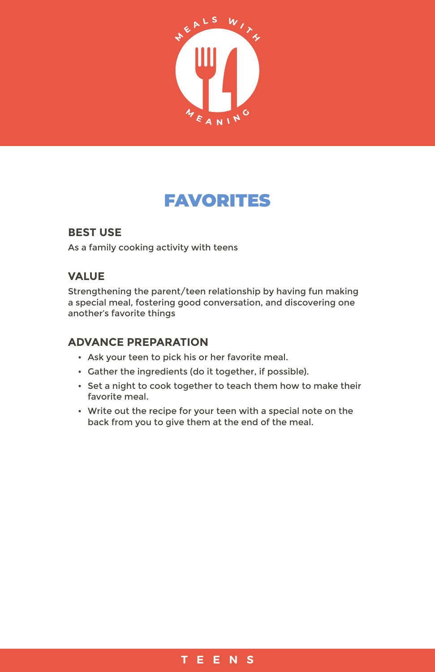

# FAVORITES

### **BEST USE**

As a family cooking activity with teens

## **VALUE**

Strengthening the parent/teen relationship by having fun making a special meal, fostering good conversation, and discovering one another's favorite things

#### **ADVANCE PREPARATION**

- Ask your teen to pick his or her favorite meal.
- Gather the ingredients (do it together, if possible).
- Set a night to cook together to teach them how to make their favorite meal.
- Write out the recipe for your teen with a special note on the back from you to give them at the end of the meal.